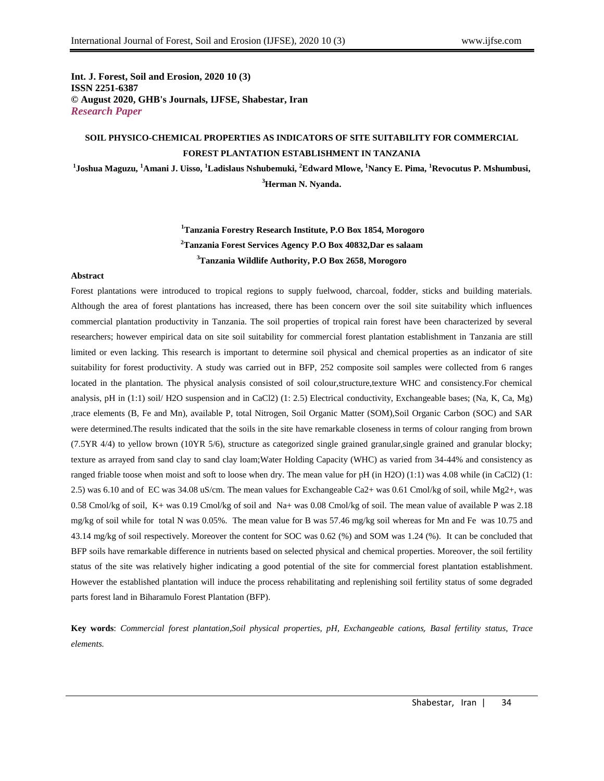**Int. J. Forest, Soil and Erosion, 2020 10 (3) ISSN 2251-6387 © August 2020, GHB's Journals, IJFSE, Shabestar, Iran** *Research Paper*

# **SOIL PHYSICO-CHEMICAL PROPERTIES AS INDICATORS OF SITE SUITABILITY FOR COMMERCIAL FOREST PLANTATION ESTABLISHMENT IN TANZANIA**

**1 Joshua Maguzu, <sup>1</sup>Amani J. Uisso, <sup>1</sup>Ladislaus Nshubemuki, <sup>2</sup>Edward Mlowe, <sup>1</sup>Nancy E. Pima, <sup>1</sup>Revocutus P. Mshumbusi, <sup>3</sup>Herman N. Nyanda.**

> **<sup>1</sup>Tanzania Forestry Research Institute, P.O Box 1854, Morogoro <sup>2</sup>Tanzania Forest Services Agency P.O Box 40832,Dar es salaam <sup>3</sup>Tanzania Wildlife Authority, P.O Box 2658, Morogoro**

## **Abstract**

Forest plantations were introduced to tropical regions to supply fuelwood, charcoal, fodder, sticks and building materials. Although the area of forest plantations has increased, there has been concern over the soil site suitability which influences commercial plantation productivity in Tanzania. The soil properties of tropical rain forest have been characterized by several researchers; however empirical data on site soil suitability for commercial forest plantation establishment in Tanzania are still limited or even lacking. This research is important to determine soil physical and chemical properties as an indicator of site suitability for forest productivity. A study was carried out in BFP, 252 composite soil samples were collected from 6 ranges located in the plantation. The physical analysis consisted of soil colour,structure,texture WHC and consistency.For chemical analysis, pH in (1:1) soil/ H2O suspension and in CaCl2) (1: 2.5) Electrical conductivity, Exchangeable bases; (Na, K, Ca, Mg) ,trace elements (B, Fe and Mn), available P, total Nitrogen, Soil Organic Matter (SOM),Soil Organic Carbon (SOC) and SAR were determined.The results indicated that the soils in the site have remarkable closeness in terms of colour ranging from brown (7.5YR 4/4) to yellow brown (10YR 5/6), structure as categorized single grained granular,single grained and granular blocky; texture as arrayed from sand clay to sand clay loam;Water Holding Capacity (WHC) as varied from 34-44% and consistency as ranged friable toose when moist and soft to loose when dry. The mean value for pH (in H2O) (1:1) was 4.08 while (in CaCl2) (1: 2.5) was 6.10 and of EC was 34.08 uS/cm. The mean values for Exchangeable Ca2+ was 0.61 Cmol/kg of soil, while Mg2+, was 0.58 Cmol/kg of soil, K+ was 0.19 Cmol/kg of soil and Na+ was 0.08 Cmol/kg of soil. The mean value of available P was 2.18 mg/kg of soil while for total N was 0.05%. The mean value for B was 57.46 mg/kg soil whereas for Mn and Fe was 10.75 and 43.14 mg/kg of soil respectively. Moreover the content for SOC was 0.62 (%) and SOM was 1.24 (%). It can be concluded that BFP soils have remarkable difference in nutrients based on selected physical and chemical properties. Moreover, the soil fertility status of the site was relatively higher indicating a good potential of the site for commercial forest plantation establishment. However the established plantation will induce the process rehabilitating and replenishing soil fertility status of some degraded parts forest land in Biharamulo Forest Plantation (BFP).

**Key words**: *Commercial forest plantation,Soil physical properties, pH, Exchangeable cations, Basal fertility status, Trace elements.*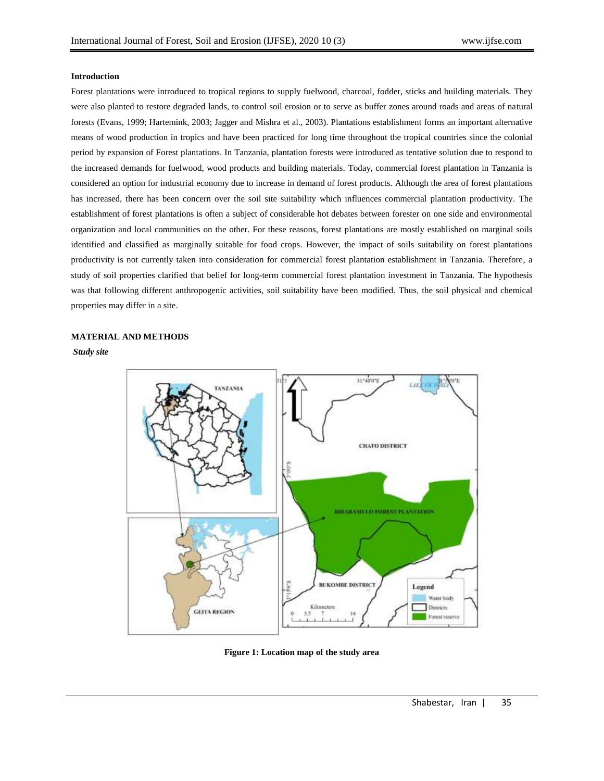# **Introduction**

Forest plantations were introduced to tropical regions to supply fuelwood, charcoal, fodder, sticks and building materials. They were also planted to restore degraded lands, to control soil erosion or to serve as buffer zones around roads and areas of natural forests (Evans, 1999; Hartemink, 2003; Jagger and Mishra et al., 2003). Plantations establishment forms an important alternative means of wood production in tropics and have been practiced for long time throughout the tropical countries since the colonial period by expansion of Forest plantations. In Tanzania, plantation forests were introduced as tentative solution due to respond to the increased demands for fuelwood, wood products and building materials. Today, commercial forest plantation in Tanzania is considered an option for industrial economy due to increase in demand of forest products. Although the area of forest plantations has increased, there has been concern over the soil site suitability which influences commercial plantation productivity. The establishment of forest plantations is often a subject of considerable hot debates between forester on one side and environmental organization and local communities on the other. For these reasons, forest plantations are mostly established on marginal soils identified and classified as marginally suitable for food crops. However, the impact of soils suitability on forest plantations productivity is not currently taken into consideration for commercial forest plantation establishment in Tanzania. Therefore, a study of soil properties clarified that belief for long-term commercial forest plantation investment in Tanzania. The hypothesis was that following different anthropogenic activities, soil suitability have been modified. Thus, the soil physical and chemical properties may differ in a site.

# **MATERIAL AND METHODS**

*Study site*



**Figure 1: Location map of the study area**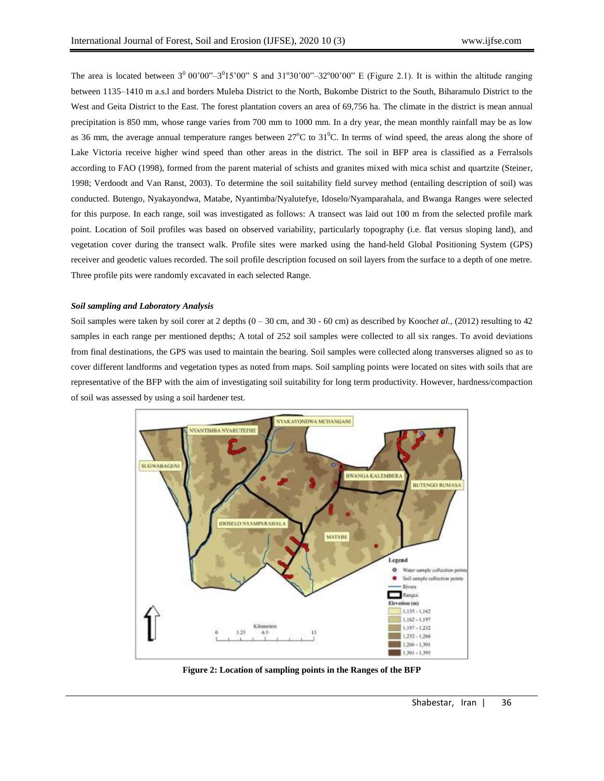The area is located between  $3^0 00' 00'' - 3^0 15' 00''$  S and  $31^0 30' 00'' - 32^0 00' 00''$  E (Figure 2.1). It is within the altitude ranging between 1135–1410 m a.s.l and borders Muleba District to the North, Bukombe District to the South, Biharamulo District to the West and Geita District to the East. The forest plantation covers an area of 69,756 ha. The climate in the district is mean annual precipitation is 850 mm, whose range varies from 700 mm to 1000 mm. In a dry year, the mean monthly rainfall may be as low as 36 mm, the average annual temperature ranges between  $27^{\circ}$ C to  $31^{\circ}$ C. In terms of wind speed, the areas along the shore of Lake Victoria receive higher wind speed than other areas in the district. The soil in BFP area is classified as a Ferralsols according to FAO (1998), formed from the parent material of schists and granites mixed with mica schist and quartzite (Steiner, 1998; Verdoodt and Van Ranst, 2003). To determine the soil suitability field survey method (entailing description of soil) was conducted. Butengo, Nyakayondwa, Matabe, Nyantimba/Nyalutefye, Idoselo/Nyamparahala, and Bwanga Ranges were selected for this purpose. In each range, soil was investigated as follows: A transect was laid out 100 m from the selected profile mark point. Location of Soil profiles was based on observed variability, particularly topography (i.e. flat versus sloping land), and vegetation cover during the transect walk. Profile sites were marked using the hand-held Global Positioning System (GPS) receiver and geodetic values recorded. The soil profile description focused on soil layers from the surface to a depth of one metre. Three profile pits were randomly excavated in each selected Range.

## *Soil sampling and Laboratory Analysis*

Soil samples were taken by soil corer at 2 depths  $(0 - 30 \text{ cm}, \text{ and } 30 - 60 \text{ cm})$  as described by Kooch*et al.*, (2012) resulting to 42 samples in each range per mentioned depths; A total of 252 soil samples were collected to all six ranges. To avoid deviations from final destinations, the GPS was used to maintain the bearing. Soil samples were collected along transverses aligned so as to cover different landforms and vegetation types as noted from maps. Soil sampling points were located on sites with soils that are representative of the BFP with the aim of investigating soil suitability for long term productivity. However, hardness/compaction of soil was assessed by using a soil hardener test.



**Figure 2: Location of sampling points in the Ranges of the BFP**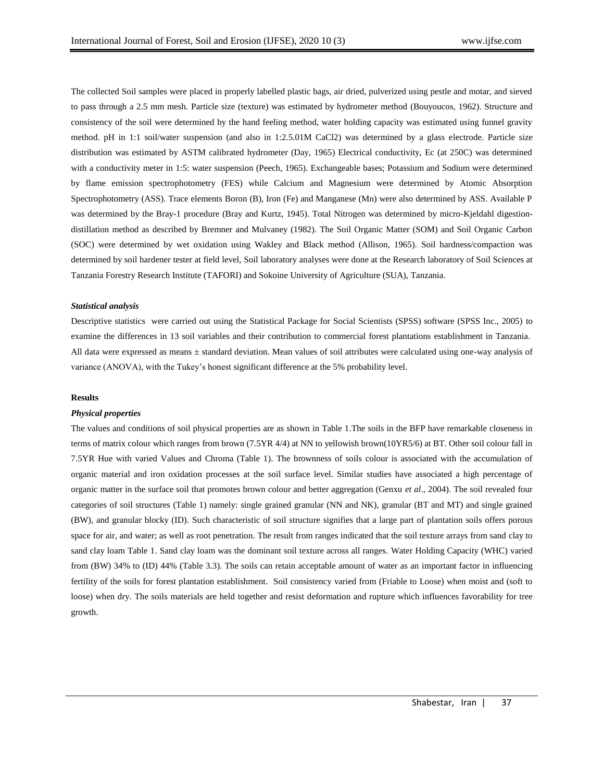The collected Soil samples were placed in properly labelled plastic bags, air dried, pulverized using pestle and motar, and sieved to pass through a 2.5 mm mesh. Particle size (texture) was estimated by hydrometer method (Bouyoucos, 1962). Structure and consistency of the soil were determined by the hand feeling method, water holding capacity was estimated using funnel gravity method. pH in 1:1 soil/water suspension (and also in 1:2.5.01M CaCl2) was determined by a glass electrode. Particle size distribution was estimated by ASTM calibrated hydrometer (Day, 1965) Electrical conductivity, Ec (at 250C) was determined with a conductivity meter in 1:5: water suspension (Peech, 1965). Exchangeable bases; Potassium and Sodium were determined by flame emission spectrophotometry (FES) while Calcium and Magnesium were determined by Atomic Absorption Spectrophotometry (ASS). Trace elements Boron (B), Iron (Fe) and Manganese (Mn) were also determined by ASS. Available P was determined by the Bray-1 procedure (Bray and Kurtz, 1945). Total Nitrogen was determined by micro-Kjeldahl digestiondistillation method as described by Bremner and Mulvaney (1982). The Soil Organic Matter (SOM) and Soil Organic Carbon (SOC) were determined by wet oxidation using Wakley and Black method (Allison, 1965). Soil hardness/compaction was determined by soil hardener tester at field level, Soil laboratory analyses were done at the Research laboratory of Soil Sciences at Tanzania Forestry Research Institute (TAFORI) and Sokoine University of Agriculture (SUA), Tanzania.

#### *Statistical analysis*

Descriptive statistics were carried out using the Statistical Package for Social Scientists (SPSS) software (SPSS Inc., 2005) to examine the differences in 13 soil variables and their contribution to commercial forest plantations establishment in Tanzania. All data were expressed as means ± standard deviation. Mean values of soil attributes were calculated using one-way analysis of variance (ANOVA), with the Tukey's honest significant difference at the 5% probability level.

#### **Results**

#### *Physical properties*

The values and conditions of soil physical properties are as shown in Table 1.The soils in the BFP have remarkable closeness in terms of matrix colour which ranges from brown (7.5YR 4/4) at NN to yellowish brown(10YR5/6) at BT. Other soil colour fall in 7.5YR Hue with varied Values and Chroma (Table 1). The brownness of soils colour is associated with the accumulation of organic material and iron oxidation processes at the soil surface level. Similar studies have associated a high percentage of organic matter in the surface soil that promotes brown colour and better aggregation (Genxu *et al*., 2004). The soil revealed four categories of soil structures (Table 1) namely: single grained granular (NN and NK), granular (BT and MT) and single grained (BW), and granular blocky (ID). Such characteristic of soil structure signifies that a large part of plantation soils offers porous space for air, and water; as well as root penetration. The result from ranges indicated that the soil texture arrays from sand clay to sand clay loam Table 1. Sand clay loam was the dominant soil texture across all ranges. Water Holding Capacity (WHC) varied from (BW) 34% to (ID) 44% (Table 3.3). The soils can retain acceptable amount of water as an important factor in influencing fertility of the soils for forest plantation establishment. Soil consistency varied from (Friable to Loose) when moist and (soft to loose) when dry. The soils materials are held together and resist deformation and rupture which influences favorability for tree growth.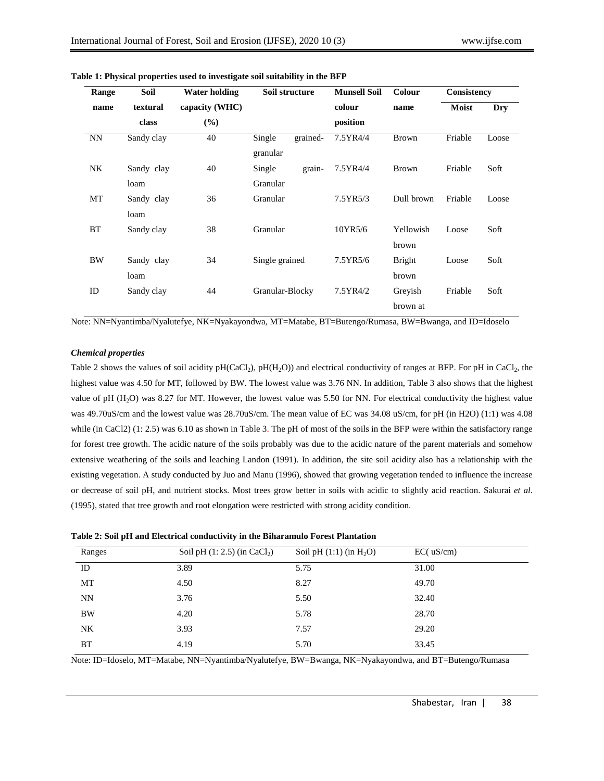| Range     | <b>Soil</b> | Water holding  | Soil structure     | <b>Munsell Soil</b> | Colour        | Consistency  |       |
|-----------|-------------|----------------|--------------------|---------------------|---------------|--------------|-------|
| name      | textural    | capacity (WHC) |                    | colour              | name          | <b>Moist</b> | Dry   |
|           | class       | (%)            |                    | position            |               |              |       |
| <b>NN</b> | Sandy clay  | 40             | Single<br>grained- | 7.5YR4/4            | <b>Brown</b>  | Friable      | Loose |
|           |             |                | granular           |                     |               |              |       |
| NK.       | Sandy clay  | 40             | Single<br>grain-   | 7.5YR4/4            | <b>Brown</b>  | Friable      | Soft  |
|           | loam        |                | Granular           |                     |               |              |       |
| МT        | Sandy clay  | 36             | Granular           | 7.5YR5/3            | Dull brown    | Friable      | Loose |
|           | loam        |                |                    |                     |               |              |       |
| <b>BT</b> | Sandy clay  | 38             | Granular           | 10YR5/6             | Yellowish     | Loose        | Soft  |
|           |             |                |                    |                     | brown         |              |       |
| <b>BW</b> | Sandy clay  | 34             | Single grained     | 7.5YR5/6            | <b>Bright</b> | Loose        | Soft  |
|           | loam        |                |                    |                     | brown         |              |       |
| ID        | Sandy clay  | 44             | Granular-Blocky    | 7.5YR4/2            | Grevish       | Friable      | Soft  |
|           |             |                |                    |                     | brown at      |              |       |

## **Table 1: Physical properties used to investigate soil suitability in the BFP**

Note: NN=Nyantimba/Nyalutefye, NK=Nyakayondwa, MT=Matabe, BT=Butengo/Rumasa, BW=Bwanga, and ID=Idoselo

## *Chemical properties*

Table 2 shows the values of soil acidity  $pH(CaCl<sub>2</sub>)$ ,  $pH(H<sub>2</sub>O)$ ) and electrical conductivity of ranges at BFP. For pH in CaCl<sub>2</sub>, the highest value was 4.50 for MT, followed by BW. The lowest value was 3.76 NN. In addition, Table 3 also shows that the highest value of pH (H2O) was 8.27 for MT. However, the lowest value was 5.50 for NN. For electrical conductivity the highest value was 49.70uS/cm and the lowest value was 28.70uS/cm. The mean value of EC was 34.08 uS/cm, for pH (in H2O) (1:1) was 4.08 while (in CaCl2) (1: 2.5) was 6.10 as shown in Table 3. The pH of most of the soils in the BFP were within the satisfactory range for forest tree growth. The acidic nature of the soils probably was due to the acidic nature of the parent materials and somehow extensive weathering of the soils and leaching Landon (1991). In addition, the site soil acidity also has a relationship with the existing vegetation. A study conducted by Juo and Manu (1996), showed that growing vegetation tended to influence the increase or decrease of soil pH, and nutrient stocks. Most trees grow better in soils with acidic to slightly acid reaction. Sakurai *et al*. (1995), stated that tree growth and root elongation were restricted with strong acidity condition.

|  | Table 2: Soil pH and Electrical conductivity in the Biharamulo Forest Plantation |  |
|--|----------------------------------------------------------------------------------|--|
|  |                                                                                  |  |

| Ranges    | Soil pH $(1: 2.5)$ (in CaCl <sub>2</sub> ) | Soil pH $(1:1)$ (in H <sub>2</sub> O) | EC( uS/cm) |
|-----------|--------------------------------------------|---------------------------------------|------------|
| ID        | 3.89                                       | 5.75                                  | 31.00      |
| MT        | 4.50                                       | 8.27                                  | 49.70      |
| NN        | 3.76                                       | 5.50                                  | 32.40      |
| <b>BW</b> | 4.20                                       | 5.78                                  | 28.70      |
| NK.       | 3.93                                       | 7.57                                  | 29.20      |
| BT        | 4.19                                       | 5.70                                  | 33.45      |

Note: ID=Idoselo, MT=Matabe, NN=Nyantimba/Nyalutefye, BW=Bwanga, NK=Nyakayondwa, and BT=Butengo/Rumasa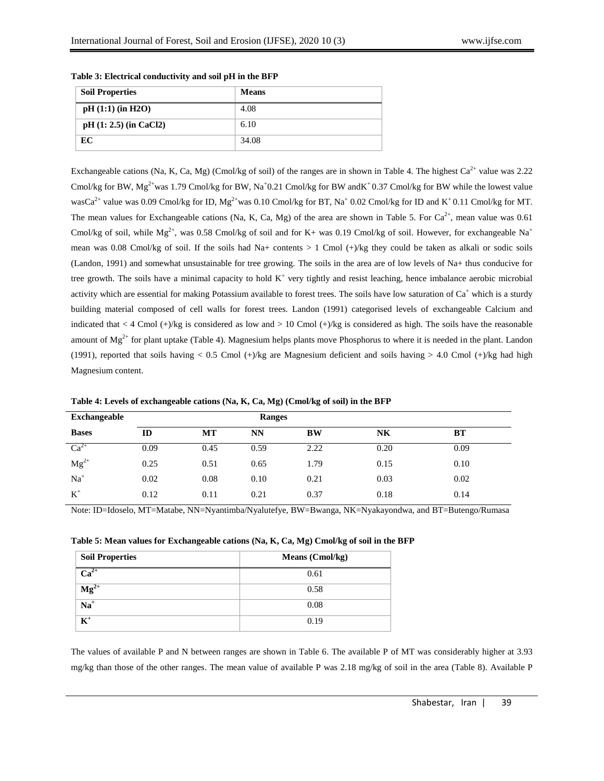| <b>Soil Properties</b>   | <b>Means</b> |
|--------------------------|--------------|
| $pH(1:1)$ (in H2O)       | 4.08         |
| $pH (1: 2.5)$ (in CaCl2) | 6.10         |
| EC                       | 34.08        |

# **Table 3: Electrical conductivity and soil pH in the BFP**

Exchangeable cations (Na, K, Ca, Mg) (Cmol/kg of soil) of the ranges are in shown in Table 4. The highest  $Ca^{2+}$  value was 2.22 Cmol/kg for BW,  $Mg^{2+}$ was 1.79 Cmol/kg for BW, Na<sup>+</sup>0.21 Cmol/kg for BW andK<sup>+</sup>0.37 Cmol/kg for BW while the lowest value wasCa<sup>2+</sup> value was 0.09 Cmol/kg for ID,  $Mg^{2+}$ was 0.10 Cmol/kg for BT, Na<sup>+</sup> 0.02 Cmol/kg for ID and K<sup>+</sup> 0.11 Cmol/kg for MT. The mean values for Exchangeable cations (Na, K, Ca, Mg) of the area are shown in Table 5. For  $Ca^{2+}$ , mean value was 0.61 Cmol/kg of soil, while  $Mg^{2+}$ , was 0.58 Cmol/kg of soil and for K+ was 0.19 Cmol/kg of soil. However, for exchangeable Na<sup>+</sup> mean was 0.08 Cmol/kg of soil. If the soils had Na+ contents  $> 1$  Cmol (+)/kg they could be taken as alkali or sodic soils (Landon, 1991) and somewhat unsustainable for tree growing. The soils in the area are of low levels of Na+ thus conducive for tree growth. The soils have a minimal capacity to hold  $K^+$  very tightly and resist leaching, hence imbalance aerobic microbial activity which are essential for making Potassium available to forest trees. The soils have low saturation of  $Ca<sup>+</sup>$  which is a sturdy building material composed of cell walls for forest trees. Landon (1991) categorised levels of exchangeable Calcium and indicated that < 4 Cmol  $(+)$ /kg is considered as low and > 10 Cmol  $(+)$ /kg is considered as high. The soils have the reasonable amount of  $Mg^{2+}$  for plant uptake (Table 4). Magnesium helps plants move Phosphorus to where it is needed in the plant. Landon (1991), reported that soils having < 0.5 Cmol  $(+)/$ kg are Magnesium deficient and soils having > 4.0 Cmol  $(+)/$ kg had high Magnesium content.

| Exchangeable |      |      | <b>Ranges</b> |           |           |      |  |
|--------------|------|------|---------------|-----------|-----------|------|--|
| <b>Bases</b> | ID   | MT   | NN            | <b>BW</b> | <b>NK</b> | BT   |  |
| $Ca^{2+}$    | 0.09 | 0.45 | 0.59          | 2.22      | 0.20      | 0.09 |  |
| $Mg^{2+}$    | 0.25 | 0.51 | 0.65          | 1.79      | 0.15      | 0.10 |  |
| $Na+$        | 0.02 | 0.08 | 0.10          | 0.21      | 0.03      | 0.02 |  |
| $K^+$        | 0.12 | 0.11 | 0.21          | 0.37      | 0.18      | 0.14 |  |

**Table 4: Levels of exchangeable cations (Na, K, Ca, Mg) (Cmol/kg of soil) in the BFP**

Note: ID=Idoselo, MT=Matabe, NN=Nyantimba/Nyalutefye, BW=Bwanga, NK=Nyakayondwa, and BT=Butengo/Rumasa

|  |  |  | Table 5: Mean values for Exchangeable cations (Na, K, Ca, Mg) Cmol/kg of soil in the BFP |
|--|--|--|------------------------------------------------------------------------------------------|
|--|--|--|------------------------------------------------------------------------------------------|

| <b>Soil Properties</b>      | <b>Means</b> (Cmol/kg) |
|-----------------------------|------------------------|
| $\overline{\text{Ca}^{2+}}$ | 0.61                   |
| $\overline{\text{Mg}^{2+}}$ | 0.58                   |
| $\overline{Na}^+$           | 0.08                   |
| $\overline{\mathbf{K}^+}$   | 0.19                   |

The values of available P and N between ranges are shown in Table 6. The available P of MT was considerably higher at 3.93 mg/kg than those of the other ranges. The mean value of available P was 2.18 mg/kg of soil in the area (Table 8). Available P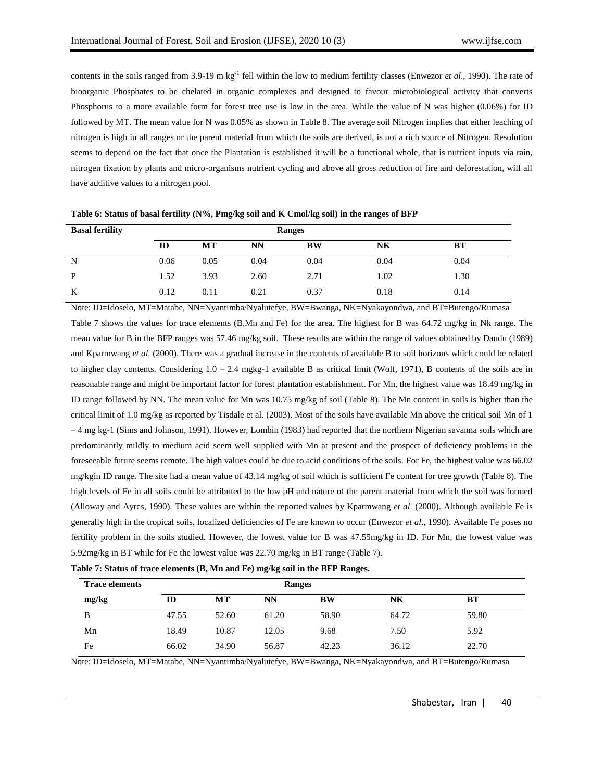contents in the soils ranged from  $3.9$ -19 m kg<sup>-1</sup> fell within the low to medium fertility classes (Enwezor *et al.*, 1990). The rate of bioorganic Phosphates to be chelated in organic complexes and designed to favour microbiological activity that converts Phosphorus to a more available form for forest tree use is low in the area. While the value of N was higher (0.06%) for ID followed by MT. The mean value for N was 0.05% as shown in Table 8. The average soil Nitrogen implies that either leaching of nitrogen is high in all ranges or the parent material from which the soils are derived, is not a rich source of Nitrogen. Resolution seems to depend on the fact that once the Plantation is established it will be a functional whole, that is nutrient inputs via rain, nitrogen fixation by plants and micro-organisms nutrient cycling and above all gross reduction of fire and deforestation, will all have additive values to a nitrogen pool.

| <b>Basal fertility</b> |      | <b>Ranges</b> |           |      |      |           |  |
|------------------------|------|---------------|-----------|------|------|-----------|--|
|                        | ID   | МT            | <b>NN</b> | BW   | NK   | <b>BT</b> |  |
| N                      | 0.06 | 0.05          | 0.04      | 0.04 | 0.04 | 0.04      |  |
| P                      | 1.52 | 3.93          | 2.60      | 2.71 | 1.02 | 1.30      |  |
| K                      | 0.12 | 0.11          | 0.21      | 0.37 | 0.18 | 0.14      |  |

**Table 6: Status of basal fertility (N%, Pmg/kg soil and K Cmol/kg soil) in the ranges of BFP**

Note: ID=Idoselo, MT=Matabe, NN=Nyantimba/Nyalutefye, BW=Bwanga, NK=Nyakayondwa, and BT=Butengo/Rumasa Table 7 shows the values for trace elements (B,Mn and Fe) for the area. The highest for B was 64.72 mg/kg in Nk range. The mean value for B in the BFP ranges was 57.46 mg/kg soil. These results are within the range of values obtained by Daudu (1989) and Kparmwang *et al.* (2000). There was a gradual increase in the contents of available B to soil horizons which could be related to higher clay contents. Considering 1.0 – 2.4 mgkg-1 available B as critical limit (Wolf, 1971), B contents of the soils are in reasonable range and might be important factor for forest plantation establishment. For Mn, the highest value was 18.49 mg/kg in ID range followed by NN. The mean value for Mn was 10.75 mg/kg of soil (Table 8). The Mn content in soils is higher than the critical limit of 1.0 mg/kg as reported by Tisdale et al. (2003). Most of the soils have available Mn above the critical soil Mn of 1 – 4 mg kg-1 (Sims and Johnson, 1991). However, Lombin (1983) had reported that the northern Nigerian savanna soils which are predominantly mildly to medium acid seem well supplied with Mn at present and the prospect of deficiency problems in the foreseeable future seems remote. The high values could be due to acid conditions of the soils. For Fe, the highest value was 66.02 mg/kgin ID range. The site had a mean value of 43.14 mg/kg of soil which is sufficient Fe content for tree growth (Table 8). The high levels of Fe in all soils could be attributed to the low pH and nature of the parent material from which the soil was formed (Alloway and Ayres, 1990). These values are within the reported values by Kparmwang *et al*. (2000). Although available Fe is generally high in the tropical soils, localized deficiencies of Fe are known to occur (Enwezor *et al*., 1990). Available Fe poses no fertility problem in the soils studied. However, the lowest value for B was 47.55mg/kg in ID. For Mn, the lowest value was 5.92mg/kg in BT while for Fe the lowest value was 22.70 mg/kg in BT range (Table 7).

|  | Table 7: Status of trace elements (B, Mn and Fe) mg/kg soil in the BFP Ranges. |  |  |  |  |
|--|--------------------------------------------------------------------------------|--|--|--|--|
|  |                                                                                |  |  |  |  |

| <b>Trace elements</b> |       | Ranges |       |       |       |       |  |
|-----------------------|-------|--------|-------|-------|-------|-------|--|
| mg/kg                 | ID    | MT     | NN    | BW    | NK    | ВT    |  |
| В                     | 47.55 | 52.60  | 61.20 | 58.90 | 64.72 | 59.80 |  |
| Mn                    | 18.49 | 10.87  | 12.05 | 9.68  | 7.50  | 5.92  |  |
| Fe                    | 66.02 | 34.90  | 56.87 | 42.23 | 36.12 | 22.70 |  |

Note: ID=Idoselo, MT=Matabe, NN=Nyantimba/Nyalutefye, BW=Bwanga, NK=Nyakayondwa, and BT=Butengo/Rumasa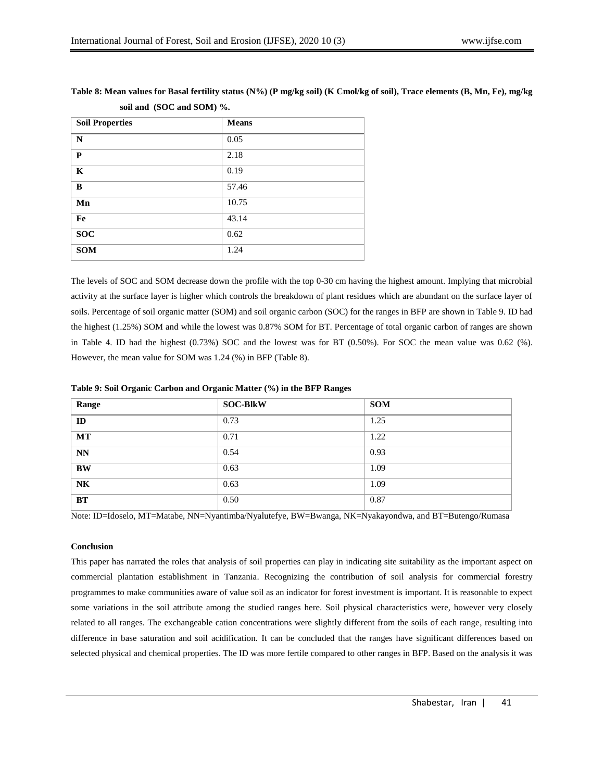| <b>Soil Properties</b> | <b>Means</b> |
|------------------------|--------------|
| N                      | 0.05         |
| P                      | 2.18         |
| $\mathbf K$            | 0.19         |
| B                      | 57.46        |
| Mn                     | 10.75        |
| Fe                     | 43.14        |
| <b>SOC</b>             | 0.62         |
| <b>SOM</b>             | 1.24         |

**Table 8: Mean values for Basal fertility status (N%) (P mg/kg soil) (K Cmol/kg of soil), Trace elements (B, Mn, Fe), mg/kg soil and (SOC and SOM) %.**

The levels of SOC and SOM decrease down the profile with the top 0-30 cm having the highest amount. Implying that microbial activity at the surface layer is higher which controls the breakdown of plant residues which are abundant on the surface layer of soils. Percentage of soil organic matter (SOM) and soil organic carbon (SOC) for the ranges in BFP are shown in Table 9. ID had the highest (1.25%) SOM and while the lowest was 0.87% SOM for BT. Percentage of total organic carbon of ranges are shown in Table 4. ID had the highest (0.73%) SOC and the lowest was for BT (0.50%). For SOC the mean value was 0.62 (%). However, the mean value for SOM was 1.24 (%) in BFP (Table 8).

| Range     | <b>SOC-BlkW</b> | <b>SOM</b> |
|-----------|-----------------|------------|
| ID        | 0.73            | 1.25       |
| <b>MT</b> | 0.71            | 1.22       |
| <b>NN</b> | 0.54            | 0.93       |
| <b>BW</b> | 0.63            | 1.09       |
| <b>NK</b> | 0.63            | 1.09       |
| <b>BT</b> | 0.50            | 0.87       |

Note: ID=Idoselo, MT=Matabe, NN=Nyantimba/Nyalutefye, BW=Bwanga, NK=Nyakayondwa, and BT=Butengo/Rumasa

# **Conclusion**

This paper has narrated the roles that analysis of soil properties can play in indicating site suitability as the important aspect on commercial plantation establishment in Tanzania. Recognizing the contribution of soil analysis for commercial forestry programmes to make communities aware of value soil as an indicator for forest investment is important. It is reasonable to expect some variations in the soil attribute among the studied ranges here. Soil physical characteristics were, however very closely related to all ranges. The exchangeable cation concentrations were slightly different from the soils of each range, resulting into difference in base saturation and soil acidification. It can be concluded that the ranges have significant differences based on selected physical and chemical properties. The ID was more fertile compared to other ranges in BFP. Based on the analysis it was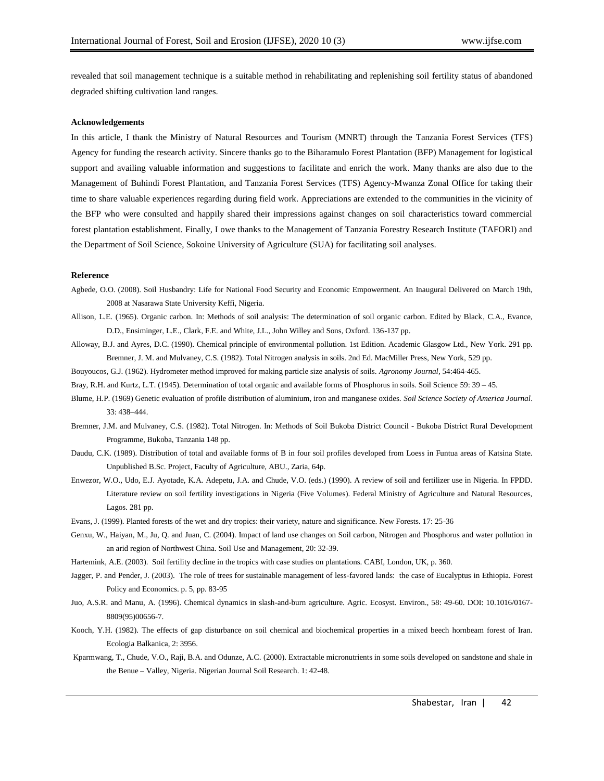revealed that soil management technique is a suitable method in rehabilitating and replenishing soil fertility status of abandoned degraded shifting cultivation land ranges.

#### **Acknowledgements**

In this article, I thank the Ministry of Natural Resources and Tourism (MNRT) through the Tanzania Forest Services (TFS) Agency for funding the research activity. Sincere thanks go to the Biharamulo Forest Plantation (BFP) Management for logistical support and availing valuable information and suggestions to facilitate and enrich the work. Many thanks are also due to the Management of Buhindi Forest Plantation, and Tanzania Forest Services (TFS) Agency-Mwanza Zonal Office for taking their time to share valuable experiences regarding during field work. Appreciations are extended to the communities in the vicinity of the BFP who were consulted and happily shared their impressions against changes on soil characteristics toward commercial forest plantation establishment. Finally, I owe thanks to the Management of Tanzania Forestry Research Institute (TAFORI) and the Department of Soil Science, Sokoine University of Agriculture (SUA) for facilitating soil analyses.

## **Reference**

- Agbede, O.O. (2008). Soil Husbandry: Life for National Food Security and Economic Empowerment. An Inaugural Delivered on March 19th, 2008 at Nasarawa State University Keffi, Nigeria.
- Allison, L.E. (1965). Organic carbon. In: Methods of soil analysis: The determination of soil organic carbon. Edited by Black, C.A., Evance, D.D., Ensiminger, L.E., Clark, F.E. and White, J.L., John Willey and Sons, Oxford. 136-137 pp.
- Alloway, B.J. and Ayres, D.C. (1990). Chemical principle of environmental pollution. 1st Edition. Academic Glasgow Ltd., New York. 291 pp. Bremner, J. M. and Mulvaney, C.S. (1982). Total Nitrogen analysis in soils. 2nd Ed. MacMiller Press, New York, 529 pp.
- Bouyoucos, G.J. (1962). Hydrometer method improved for making particle size analysis of soils. *Agronomy Journal,* 54:464-465.
- Bray, R.H. and Kurtz, L.T. (1945). Determination of total organic and available forms of Phosphorus in soils. Soil Science 59: 39 45.
- Blume, H.P. (1969) Genetic evaluation of profile distribution of aluminium, iron and manganese oxides. *Soil Science Society of America Journal*. 33: 438–444.
- Bremner, J.M. and Mulvaney, C.S. (1982). Total Nitrogen. In: Methods of Soil Bukoba District Council Bukoba District Rural Development Programme, Bukoba, Tanzania 148 pp.
- Daudu, C.K. (1989). Distribution of total and available forms of B in four soil profiles developed from Loess in Funtua areas of Katsina State. Unpublished B.Sc. Project, Faculty of Agriculture, ABU., Zaria, 64p.
- Enwezor, W.O., Udo, E.J. Ayotade, K.A. Adepetu, J.A. and Chude, V.O. (eds.) (1990). A review of soil and fertilizer use in Nigeria. In FPDD. Literature review on soil fertility investigations in Nigeria (Five Volumes). Federal Ministry of Agriculture and Natural Resources, Lagos. 281 pp.
- Evans, J. (1999). Planted forests of the wet and dry tropics: their variety, nature and significance. New Forests. 17: 25-36
- Genxu, W., Haiyan, M., Ju, Q. and Juan, C. (2004). Impact of land use changes on Soil carbon, Nitrogen and Phosphorus and water pollution in an arid region of Northwest China. Soil Use and Management, 20: 32-39.
- Hartemink, A.E. (2003). Soil fertility decline in the tropics with case studies on plantations. CABI, London, UK, p. 360.
- Jagger, P. and Pender, J. (2003). The role of trees for sustainable management of less-favored lands: the case of Eucalyptus in Ethiopia. Forest Policy and Economics. p. 5, pp. 83-95
- Juo, A.S.R. and Manu, A. (1996). Chemical dynamics in slash-and-burn agriculture. Agric. Ecosyst. Environ., 58: 49-60. DOI: 10.1016/0167- 8809(95)00656-7.
- Kooch, Y.H. (1982). The effects of gap disturbance on soil chemical and biochemical properties in a mixed beech hornbeam forest of Iran. Ecologia Balkanica, 2: 3956.
- Kparmwang, T., Chude, V.O., Raji, B.A. and Odunze, A.C. (2000). Extractable micronutrients in some soils developed on sandstone and shale in the Benue – Valley, Nigeria. Nigerian Journal Soil Research. 1: 42-48.